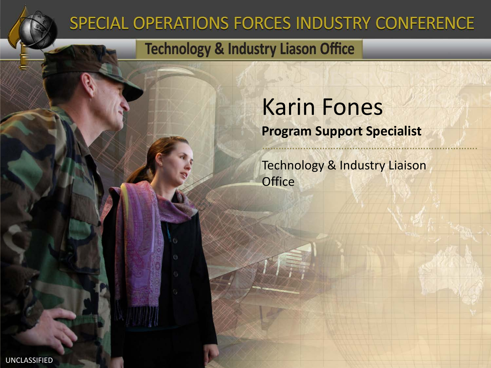### SPECIAL OPERATIONS FORCES INDUSTRY CONFERENCE

#### **Technology & Industry Liason Office**

# Karin Fones

#### **Program Support Specialist**

Technology & Industry Liaison **Office**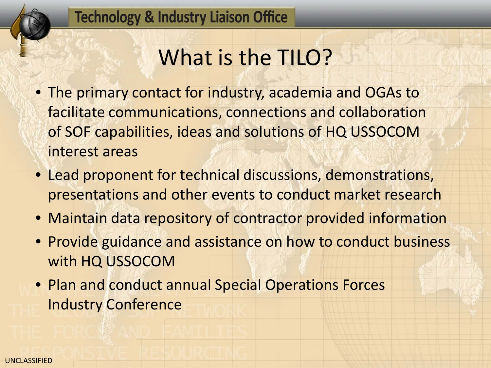**Technology & Industry Liaison Office** 

### What is the TILO?

- The primary contact for industry, academia and OGAs to facilitate communications, connections and collaboration of SOF capabilities, ideas and solutions of HQ USSOCOM interest areas
- Lead proponent for technical discussions, demonstrations, presentations and other events to conduct market research
- Maintain data repository of contractor provided information
- Provide guidance and assistance on how to conduct business with HQ USSOCOM
- Plan and conduct annual Special Operations Forces Industry Conference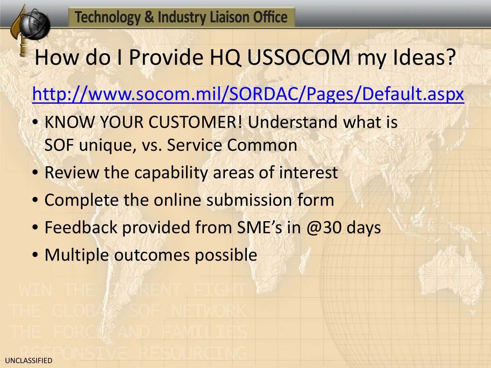# How do I Provide HQ USSOCOM my Ideas?

<http://www.socom.mil/SORDAC/Pages/Default.aspx>

- KNOW YOUR CUSTOMER! Understand what is SOF unique, vs. Service Common
- Review the capability areas of interest
- Complete the online submission form
- Feedback provided from SME's in @30 days
- Multiple outcomes possible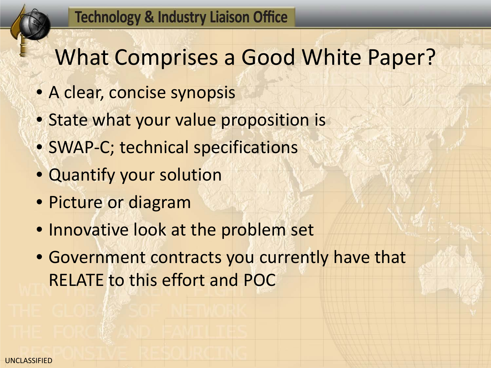**Technology & Industry Liaison Office** 

### What Comprises a Good White Paper?

- A clear, concise synopsis
- State what your value proposition is
- SWAP-C; technical specifications
- Quantify your solution
- Picture or diagram
- Innovative look at the problem set
- Government contracts you currently have that RELATE to this effort and POC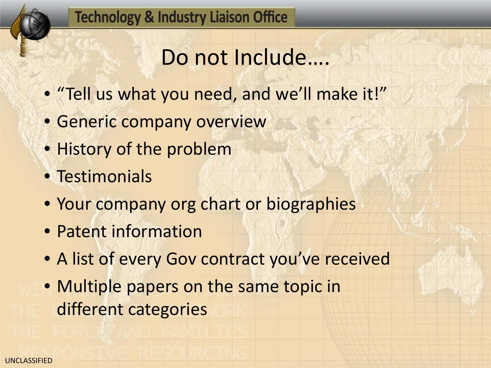#### **Technology & Industry Liaison Office**

### Do not Include….

- "Tell us what you need, and we'll make it!"
- Generic company overview
- History of the problem
- Testimonials
- Your company org chart or biographies
- Patent information
- A list of every Gov contract you've received
- Multiple papers on the same topic in different categories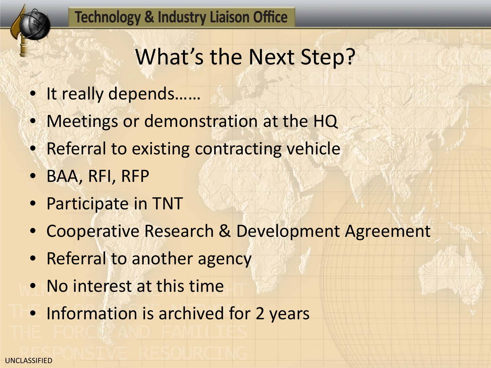

## What's the Next Step?

- It really depends……
- Meetings or demonstration at the HQ
- Referral to existing contracting vehicle
- BAA, RFI, RFP
- Participate in TNT
- Cooperative Research & Development Agreement
- Referral to another agency
- No interest at this time
- Information is archived for 2 years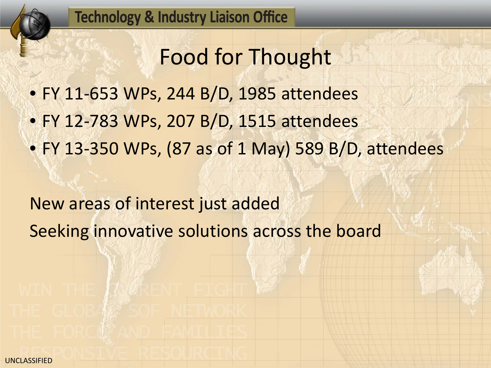### Food for Thought

• FY 11-653 WPs, 244 B/D, 1985 attendees

- FY 12-783 WPs, 207 B/D, 1515 attendees
- FY 13-350 WPs, (87 as of 1 May) 589 B/D, attendees

New areas of interest just added Seeking innovative solutions across the board